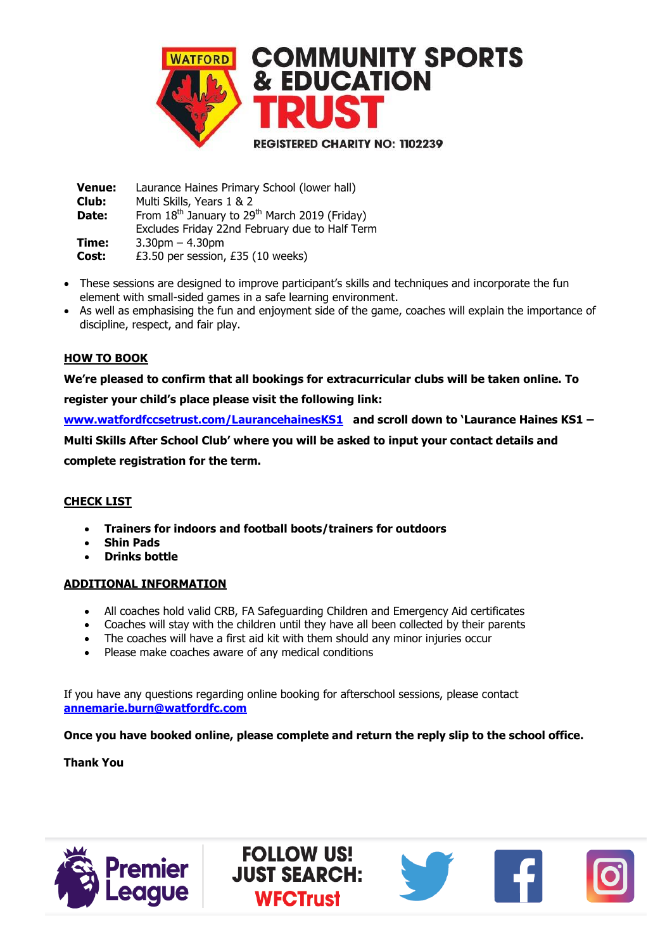

 **Venue:** Laurance Haines Primary School (lower hall)  **Club: Date:** Multi Skills, Years 1 & 2 From 18<sup>th</sup> January to 29<sup>th</sup> March 2019 (Friday) Excludes Friday 22nd February due to Half Term  **Time:** 3.30pm – 4.30pm **Cost:** £3.50 per session, £35 (10 weeks)

- These sessions are designed to improve participant's skills and techniques and incorporate the fun element with small-sided games in a safe learning environment.
- As well as emphasising the fun and enjoyment side of the game, coaches will explain the importance of discipline, respect, and fair play.

### **HOW TO BOOK**

**We're pleased to confirm that all bookings for extracurricular clubs will be taken online. To** 

**register your child's place please visit the following link:** 

**[www.watfordfccsetrust.com/LaurancehainesKS1](http://www.watfordfccsetrust.com/LaurancehainesKS1) and scroll down to 'Laurance Haines KS1 – Multi Skills After School Club' where you will be asked to input your contact details and** 

**complete registration for the term.**

### **CHECK LIST**

- **Trainers for indoors and football boots/trainers for outdoors**
- **Shin Pads**
- **Drinks bottle**

### **ADDITIONAL INFORMATION**

- All coaches hold valid CRB, FA Safeguarding Children and Emergency Aid certificates
- Coaches will stay with the children until they have all been collected by their parents
- The coaches will have a first aid kit with them should any minor injuries occur
- Please make coaches aware of any medical conditions

If you have any questions regarding online booking for afterschool sessions, please contact **[annemarie.burn@watfordfc.com](mailto:annemarie.burn@watfordfc.com)**

> **FOLLOW US! JUST SEARCH:**

> > **WFCTrust**

**Once you have booked online, please complete and return the reply slip to the school office.**

**Thank You**